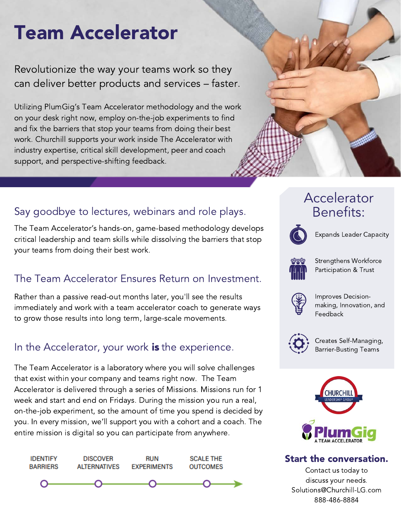# Team Accelerator

Revolutionize the way your teams work so they can deliver better products and services – faster.

Utilizing PlumGig's Team Accelerator methodology and the work on your desk right now, employ on-the-job experiments to find and fix the barriers that stop your teams from doing their best work. Churchill supports your work inside The Accelerator with industry expertise, critical skill development, peer and coach support, and perspective-shifting feedback.

# Say goodbye to lectures, webinars and role plays. Benefits:

The Team Accelerator's hands-on, game-based methodology develops critical leadership and team skills while dissolving the barriers that stop your teams from doing their best work.

# The Team Accelerator Ensures Return on Investment.

Rather than a passive read-out months later, you'll see the results immediately and work with a team accelerator coach to generate ways to grow those results into long term, large-scale movements.

# In the Accelerator, your work **is** the experience.

The Team Accelerator is a laboratory where you will solve challenges that exist within your company and teams right now. The Team Accelerator is delivered through a series of Missions. Missions run for 1 week and start and end on Fridays. During the mission you run a real, on-the-job experiment, so the amount of time you spend is decided by you. In every mission, we'll support you with a cohort and a coach. The entire mission is digital so you can participate from anywhere.



# Accelerator



Expands Leader Capacity



Strengthens Workforce Participation & Trust



Improves Decisionmaking, Innovation, and Feedback



Creates Self-Managing, Barrier-Busting Teams



#### Start the conversation.

Contact us today to discuss your needs. Solutions@Churchill-LG.com 888-486-8884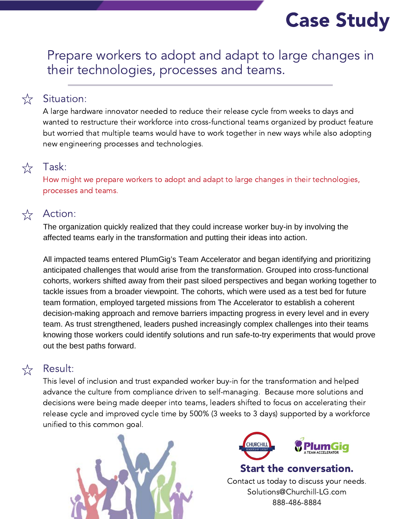# Case Study

Prepare workers to adopt and adapt to large changes in their technologies, processes and teams.

#### Situation:

A large hardware innovator needed to reduce their release cycle from weeks to days and wanted to restructure their workforce into cross-functional teams organized by product feature but worried that multiple teams would have to work together in new ways while also adopting new engineering processes and technologies.

# $\sum_{\lambda}$

 $\frac{1}{\sqrt{2}}$ 

How might we prepare workers to adopt and adapt to large changes in their technologies, processes and teams.



#### Action:

Task:

The organization quickly realized that they could increase worker buy-in by involving the affected teams early in the transformation and putting their ideas into action.

All impacted teams entered PlumGig's Team Accelerator and began identifying and prioritizing anticipated challenges that would arise from the transformation. Grouped into cross-functional cohorts, workers shifted away from their past siloed perspectives and began working together to tackle issues from a broader viewpoint. The cohorts, which were used as a test bed for future team formation, employed targeted missions from The Accelerator to establish a coherent decision-making approach and remove barriers impacting progress in every level and in every team. As trust strengthened, leaders pushed increasingly complex challenges into their teams knowing those workers could identify solutions and run safe-to-try experiments that would prove out the best paths forward.

#### $\sum_{\lambda}$

#### Result:

This level of inclusion and trust expanded worker buy-in for the transformation and helped advance the culture from compliance driven to self-managing. Because more solutions and decisions were being made deeper into teams, leaders shifted to focus on accelerating their release cycle and improved cycle time by 500% (3 weeks to 3 days) supported by a workforce unified to this common goal.





Start the conversation.

Contact us today to discuss your needs. Solutions@Churchill-LG.com 888-486-8884